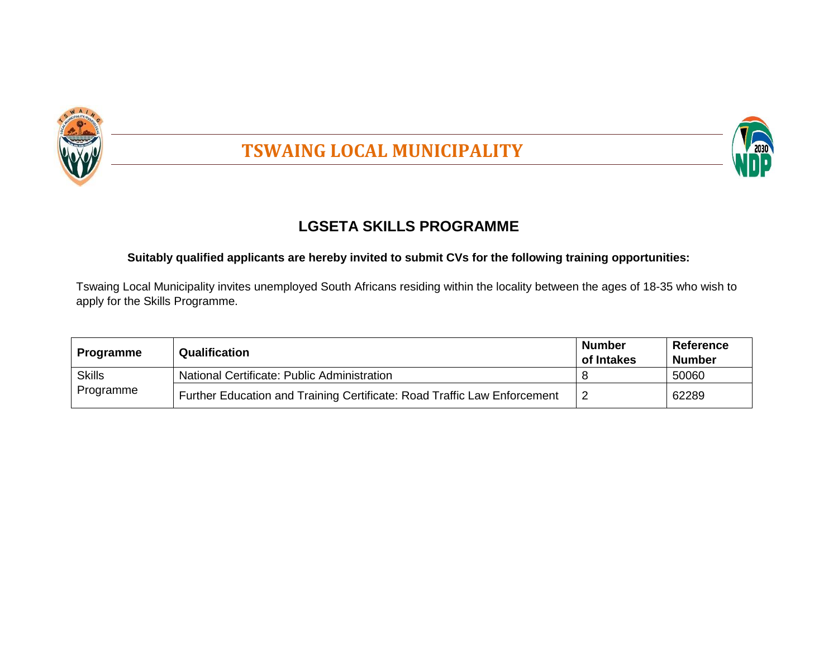

# **TSWAING LOCAL MUNICIPALITY**



# **LGSETA SKILLS PROGRAMME**

## **Suitably qualified applicants are hereby invited to submit CVs for the following training opportunities:**

Tswaing Local Municipality invites unemployed South Africans residing within the locality between the ages of 18-35 who wish to apply for the Skills Programme.

| <b>Programme</b> | <b>Qualification</b>                                                     | <b>Number</b><br>of Intakes | Reference<br><b>Number</b> |
|------------------|--------------------------------------------------------------------------|-----------------------------|----------------------------|
| <b>Skills</b>    | National Certificate: Public Administration                              |                             | 50060                      |
| Programme        | Further Education and Training Certificate: Road Traffic Law Enforcement |                             | 62289                      |